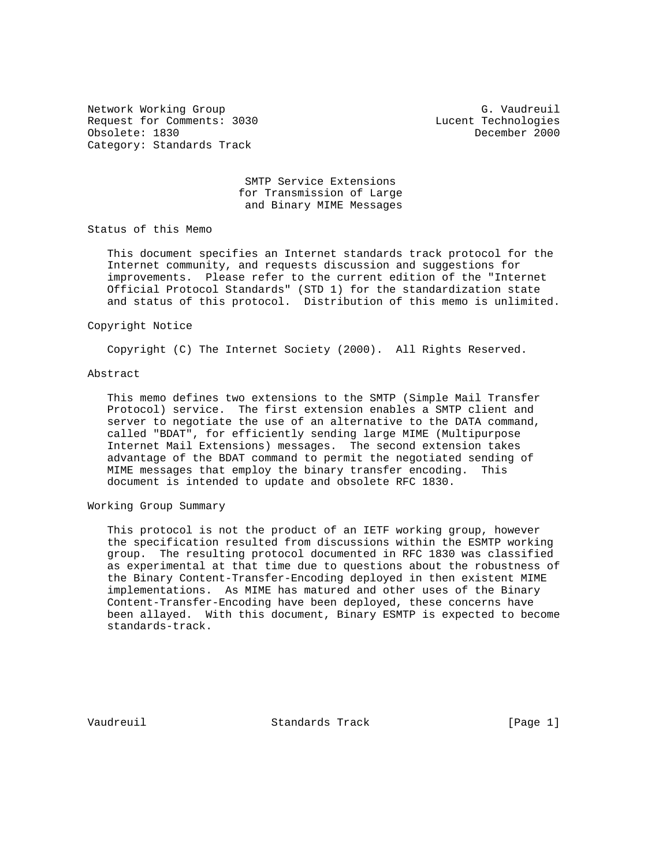Network Working Group G. Vaudreuil Request for Comments: 3030 Lucent Technologies Obsolete: 1830 December 2000 Category: Standards Track

 SMTP Service Extensions for Transmission of Large and Binary MIME Messages

Status of this Memo

 This document specifies an Internet standards track protocol for the Internet community, and requests discussion and suggestions for improvements. Please refer to the current edition of the "Internet Official Protocol Standards" (STD 1) for the standardization state and status of this protocol. Distribution of this memo is unlimited.

#### Copyright Notice

Copyright (C) The Internet Society (2000). All Rights Reserved.

# Abstract

 This memo defines two extensions to the SMTP (Simple Mail Transfer Protocol) service. The first extension enables a SMTP client and server to negotiate the use of an alternative to the DATA command, called "BDAT", for efficiently sending large MIME (Multipurpose Internet Mail Extensions) messages. The second extension takes advantage of the BDAT command to permit the negotiated sending of MIME messages that employ the binary transfer encoding. This document is intended to update and obsolete RFC 1830.

# Working Group Summary

 This protocol is not the product of an IETF working group, however the specification resulted from discussions within the ESMTP working group. The resulting protocol documented in RFC 1830 was classified as experimental at that time due to questions about the robustness of the Binary Content-Transfer-Encoding deployed in then existent MIME implementations. As MIME has matured and other uses of the Binary Content-Transfer-Encoding have been deployed, these concerns have been allayed. With this document, Binary ESMTP is expected to become standards-track.

Vaudreuil **Standards Track** [Page 1]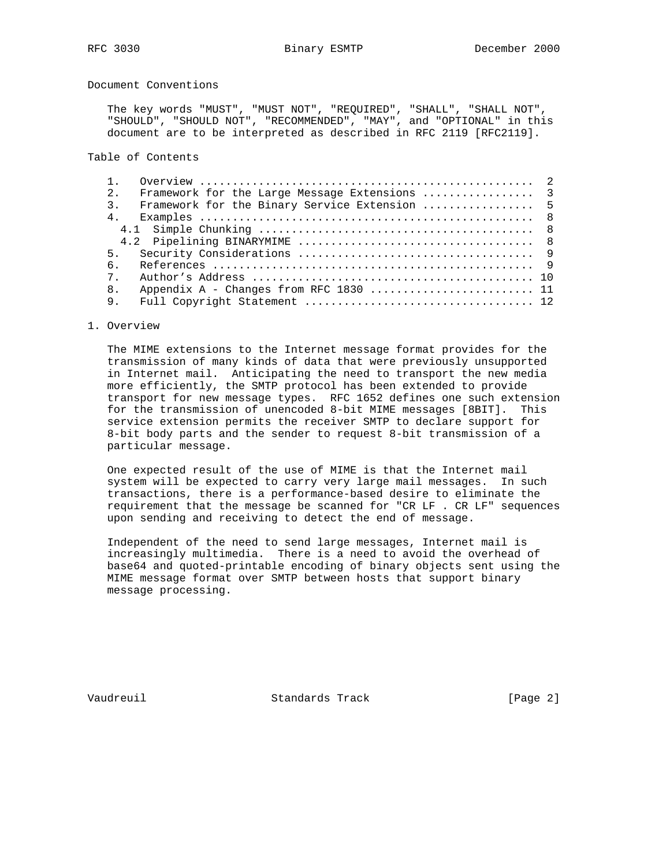Document Conventions

 The key words "MUST", "MUST NOT", "REQUIRED", "SHALL", "SHALL NOT", "SHOULD", "SHOULD NOT", "RECOMMENDED", "MAY", and "OPTIONAL" in this document are to be interpreted as described in RFC 2119 [RFC2119].

Table of Contents

| 2.               | Framework for the Large Message Extensions  3 |  |
|------------------|-----------------------------------------------|--|
| $\overline{3}$ . | Framework for the Binary Service Extension  5 |  |
| 4 <sub>1</sub>   |                                               |  |
|                  |                                               |  |
|                  |                                               |  |
| 5.               |                                               |  |
| რ.               |                                               |  |
| $7^{\circ}$      |                                               |  |
| 8 <sub>1</sub>   | Appendix A - Changes from RFC 1830  11        |  |
| 9.               |                                               |  |

# 1. Overview

 The MIME extensions to the Internet message format provides for the transmission of many kinds of data that were previously unsupported in Internet mail. Anticipating the need to transport the new media more efficiently, the SMTP protocol has been extended to provide transport for new message types. RFC 1652 defines one such extension for the transmission of unencoded 8-bit MIME messages [8BIT]. This service extension permits the receiver SMTP to declare support for 8-bit body parts and the sender to request 8-bit transmission of a particular message.

 One expected result of the use of MIME is that the Internet mail system will be expected to carry very large mail messages. In such transactions, there is a performance-based desire to eliminate the requirement that the message be scanned for "CR LF . CR LF" sequences upon sending and receiving to detect the end of message.

 Independent of the need to send large messages, Internet mail is increasingly multimedia. There is a need to avoid the overhead of base64 and quoted-printable encoding of binary objects sent using the MIME message format over SMTP between hosts that support binary message processing.

Vaudreuil Standards Track [Page 2]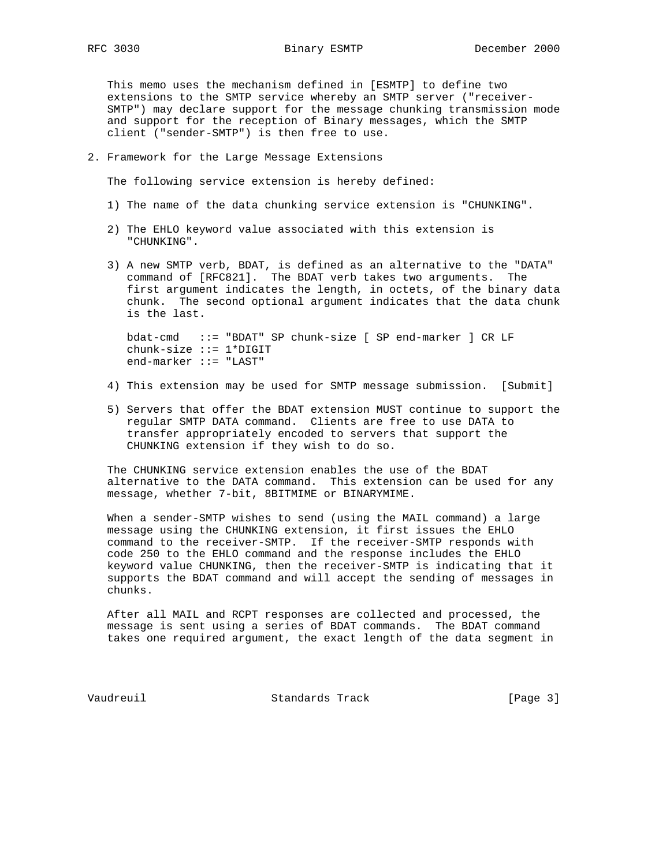This memo uses the mechanism defined in [ESMTP] to define two extensions to the SMTP service whereby an SMTP server ("receiver- SMTP") may declare support for the message chunking transmission mode and support for the reception of Binary messages, which the SMTP client ("sender-SMTP") is then free to use.

2. Framework for the Large Message Extensions

The following service extension is hereby defined:

- 1) The name of the data chunking service extension is "CHUNKING".
- 2) The EHLO keyword value associated with this extension is "CHUNKING".
- 3) A new SMTP verb, BDAT, is defined as an alternative to the "DATA" command of [RFC821]. The BDAT verb takes two arguments. The first argument indicates the length, in octets, of the binary data chunk. The second optional argument indicates that the data chunk is the last.

 bdat-cmd ::= "BDAT" SP chunk-size [ SP end-marker ] CR LF chunk-size ::= 1\*DIGIT end-marker ::= "LAST"

- 4) This extension may be used for SMTP message submission. [Submit]
- 5) Servers that offer the BDAT extension MUST continue to support the regular SMTP DATA command. Clients are free to use DATA to transfer appropriately encoded to servers that support the CHUNKING extension if they wish to do so.

 The CHUNKING service extension enables the use of the BDAT alternative to the DATA command. This extension can be used for any message, whether 7-bit, 8BITMIME or BINARYMIME.

 When a sender-SMTP wishes to send (using the MAIL command) a large message using the CHUNKING extension, it first issues the EHLO command to the receiver-SMTP. If the receiver-SMTP responds with code 250 to the EHLO command and the response includes the EHLO keyword value CHUNKING, then the receiver-SMTP is indicating that it supports the BDAT command and will accept the sending of messages in chunks.

 After all MAIL and RCPT responses are collected and processed, the message is sent using a series of BDAT commands. The BDAT command takes one required argument, the exact length of the data segment in

Vaudreuil Standards Track [Page 3]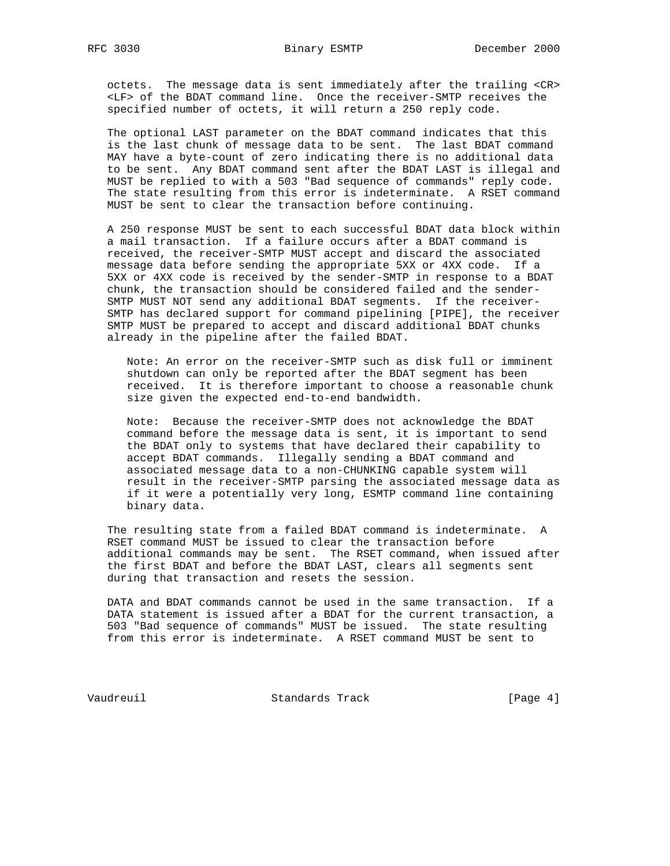octets. The message data is sent immediately after the trailing <CR> <LF> of the BDAT command line. Once the receiver-SMTP receives the specified number of octets, it will return a 250 reply code.

 The optional LAST parameter on the BDAT command indicates that this is the last chunk of message data to be sent. The last BDAT command MAY have a byte-count of zero indicating there is no additional data to be sent. Any BDAT command sent after the BDAT LAST is illegal and MUST be replied to with a 503 "Bad sequence of commands" reply code. The state resulting from this error is indeterminate. A RSET command MUST be sent to clear the transaction before continuing.

 A 250 response MUST be sent to each successful BDAT data block within a mail transaction. If a failure occurs after a BDAT command is received, the receiver-SMTP MUST accept and discard the associated message data before sending the appropriate 5XX or 4XX code. If a 5XX or 4XX code is received by the sender-SMTP in response to a BDAT chunk, the transaction should be considered failed and the sender- SMTP MUST NOT send any additional BDAT segments. If the receiver- SMTP has declared support for command pipelining [PIPE], the receiver SMTP MUST be prepared to accept and discard additional BDAT chunks already in the pipeline after the failed BDAT.

 Note: An error on the receiver-SMTP such as disk full or imminent shutdown can only be reported after the BDAT segment has been received. It is therefore important to choose a reasonable chunk size given the expected end-to-end bandwidth.

 Note: Because the receiver-SMTP does not acknowledge the BDAT command before the message data is sent, it is important to send the BDAT only to systems that have declared their capability to accept BDAT commands. Illegally sending a BDAT command and associated message data to a non-CHUNKING capable system will result in the receiver-SMTP parsing the associated message data as if it were a potentially very long, ESMTP command line containing binary data.

 The resulting state from a failed BDAT command is indeterminate. A RSET command MUST be issued to clear the transaction before additional commands may be sent. The RSET command, when issued after the first BDAT and before the BDAT LAST, clears all segments sent during that transaction and resets the session.

 DATA and BDAT commands cannot be used in the same transaction. If a DATA statement is issued after a BDAT for the current transaction, a 503 "Bad sequence of commands" MUST be issued. The state resulting from this error is indeterminate. A RSET command MUST be sent to

Vaudreuil Standards Track [Page 4]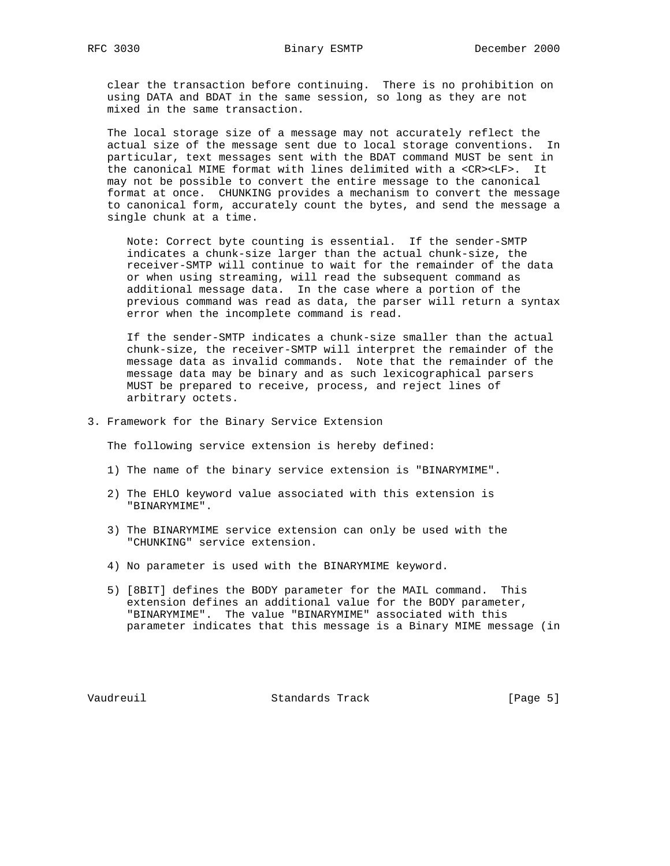clear the transaction before continuing. There is no prohibition on using DATA and BDAT in the same session, so long as they are not mixed in the same transaction.

 The local storage size of a message may not accurately reflect the actual size of the message sent due to local storage conventions. In particular, text messages sent with the BDAT command MUST be sent in the canonical MIME format with lines delimited with a <CR><LF>. It may not be possible to convert the entire message to the canonical format at once. CHUNKING provides a mechanism to convert the message to canonical form, accurately count the bytes, and send the message a single chunk at a time.

 Note: Correct byte counting is essential. If the sender-SMTP indicates a chunk-size larger than the actual chunk-size, the receiver-SMTP will continue to wait for the remainder of the data or when using streaming, will read the subsequent command as additional message data. In the case where a portion of the previous command was read as data, the parser will return a syntax error when the incomplete command is read.

 If the sender-SMTP indicates a chunk-size smaller than the actual chunk-size, the receiver-SMTP will interpret the remainder of the message data as invalid commands. Note that the remainder of the message data may be binary and as such lexicographical parsers MUST be prepared to receive, process, and reject lines of arbitrary octets.

3. Framework for the Binary Service Extension

The following service extension is hereby defined:

- 1) The name of the binary service extension is "BINARYMIME".
- 2) The EHLO keyword value associated with this extension is "BINARYMIME".
- 3) The BINARYMIME service extension can only be used with the "CHUNKING" service extension.
- 4) No parameter is used with the BINARYMIME keyword.
- 5) [8BIT] defines the BODY parameter for the MAIL command. This extension defines an additional value for the BODY parameter, "BINARYMIME". The value "BINARYMIME" associated with this parameter indicates that this message is a Binary MIME message (in

Vaudreuil Standards Track [Page 5]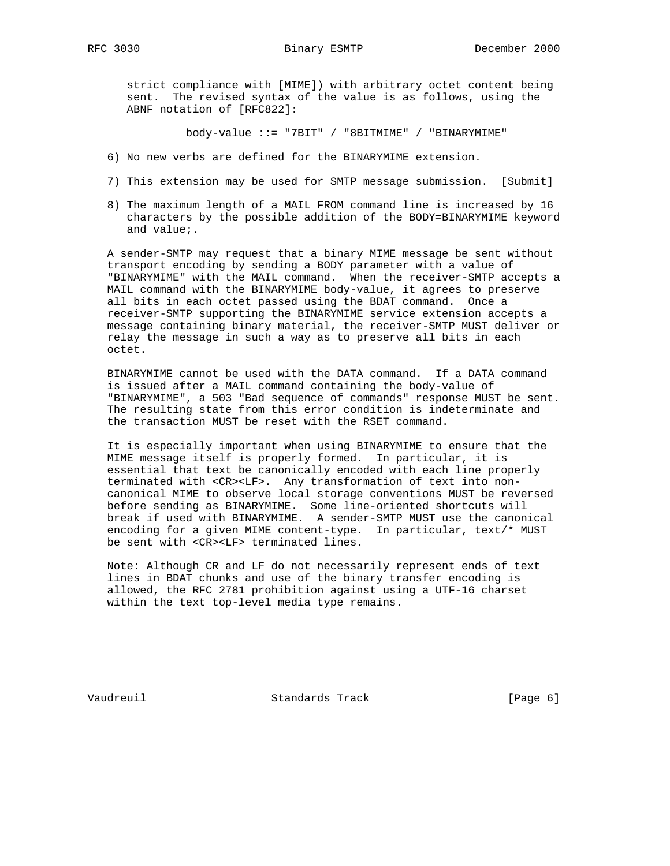strict compliance with [MIME]) with arbitrary octet content being sent. The revised syntax of the value is as follows, using the ABNF notation of [RFC822]:

body-value ::= "7BIT" / "8BITMIME" / "BINARYMIME"

- 6) No new verbs are defined for the BINARYMIME extension.
- 7) This extension may be used for SMTP message submission. [Submit]
- 8) The maximum length of a MAIL FROM command line is increased by 16 characters by the possible addition of the BODY=BINARYMIME keyword and value;.

 A sender-SMTP may request that a binary MIME message be sent without transport encoding by sending a BODY parameter with a value of "BINARYMIME" with the MAIL command. When the receiver-SMTP accepts a MAIL command with the BINARYMIME body-value, it agrees to preserve all bits in each octet passed using the BDAT command. Once a receiver-SMTP supporting the BINARYMIME service extension accepts a message containing binary material, the receiver-SMTP MUST deliver or relay the message in such a way as to preserve all bits in each octet.

 BINARYMIME cannot be used with the DATA command. If a DATA command is issued after a MAIL command containing the body-value of "BINARYMIME", a 503 "Bad sequence of commands" response MUST be sent. The resulting state from this error condition is indeterminate and the transaction MUST be reset with the RSET command.

 It is especially important when using BINARYMIME to ensure that the MIME message itself is properly formed. In particular, it is essential that text be canonically encoded with each line properly terminated with <CR><LF>. Any transformation of text into non canonical MIME to observe local storage conventions MUST be reversed before sending as BINARYMIME. Some line-oriented shortcuts will break if used with BINARYMIME. A sender-SMTP MUST use the canonical encoding for a given MIME content-type. In particular, text/\* MUST be sent with <CR><LF> terminated lines.

 Note: Although CR and LF do not necessarily represent ends of text lines in BDAT chunks and use of the binary transfer encoding is allowed, the RFC 2781 prohibition against using a UTF-16 charset within the text top-level media type remains.

Vaudreuil Standards Track [Page 6]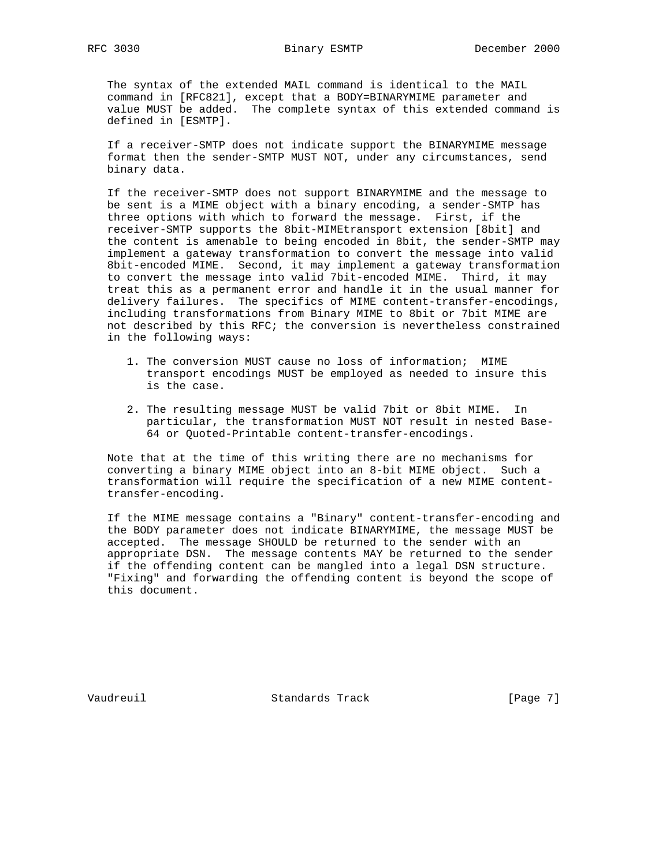The syntax of the extended MAIL command is identical to the MAIL command in [RFC821], except that a BODY=BINARYMIME parameter and value MUST be added. The complete syntax of this extended command is defined in [ESMTP].

 If a receiver-SMTP does not indicate support the BINARYMIME message format then the sender-SMTP MUST NOT, under any circumstances, send binary data.

 If the receiver-SMTP does not support BINARYMIME and the message to be sent is a MIME object with a binary encoding, a sender-SMTP has three options with which to forward the message. First, if the receiver-SMTP supports the 8bit-MIMEtransport extension [8bit] and the content is amenable to being encoded in 8bit, the sender-SMTP may implement a gateway transformation to convert the message into valid 8bit-encoded MIME. Second, it may implement a gateway transformation to convert the message into valid 7bit-encoded MIME. Third, it may treat this as a permanent error and handle it in the usual manner for delivery failures. The specifics of MIME content-transfer-encodings, including transformations from Binary MIME to 8bit or 7bit MIME are not described by this RFC; the conversion is nevertheless constrained in the following ways:

- 1. The conversion MUST cause no loss of information; MIME transport encodings MUST be employed as needed to insure this is the case.
- 2. The resulting message MUST be valid 7bit or 8bit MIME. In particular, the transformation MUST NOT result in nested Base- 64 or Quoted-Printable content-transfer-encodings.

 Note that at the time of this writing there are no mechanisms for converting a binary MIME object into an 8-bit MIME object. Such a transformation will require the specification of a new MIME content transfer-encoding.

 If the MIME message contains a "Binary" content-transfer-encoding and the BODY parameter does not indicate BINARYMIME, the message MUST be accepted. The message SHOULD be returned to the sender with an appropriate DSN. The message contents MAY be returned to the sender if the offending content can be mangled into a legal DSN structure. "Fixing" and forwarding the offending content is beyond the scope of this document.

Vaudreuil Standards Track [Page 7]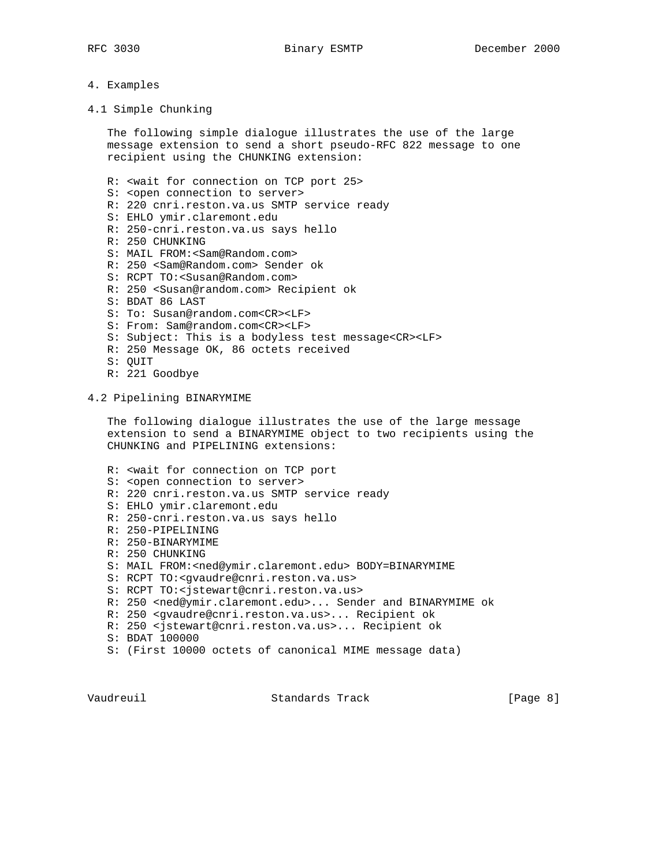#### 4. Examples

4.1 Simple Chunking

 The following simple dialogue illustrates the use of the large message extension to send a short pseudo-RFC 822 message to one recipient using the CHUNKING extension:

R: <wait for connection on TCP port 25>

- S: < open connection to server>
- R: 220 cnri.reston.va.us SMTP service ready
- S: EHLO ymir.claremont.edu
- R: 250-cnri.reston.va.us says hello
- R: 250 CHUNKING
- S: MAIL FROM:<Sam@Random.com>
- R: 250 <Sam@Random.com> Sender ok
- S: RCPT TO:<Susan@Random.com>
- R: 250 <Susan@random.com> Recipient ok
- S: BDAT 86 LAST
- S: To: Susan@random.com<CR><LF>
- S: From: Sam@random.com<CR><LF>
- S: Subject: This is a bodyless test message<CR><LF>
- R: 250 Message OK, 86 octets received
- S: QUIT
- R: 221 Goodbye

#### 4.2 Pipelining BINARYMIME

 The following dialogue illustrates the use of the large message extension to send a BINARYMIME object to two recipients using the CHUNKING and PIPELINING extensions:

- R: <wait for connection on TCP port
- S: <open connection to server>
- R: 220 cnri.reston.va.us SMTP service ready
- S: EHLO ymir.claremont.edu
- R: 250-cnri.reston.va.us says hello
- R: 250-PIPELINING
- R: 250-BINARYMIME
- R: 250 CHUNKING
- S: MAIL FROM:<ned@ymir.claremont.edu> BODY=BINARYMIME
- S: RCPT TO:<gvaudre@cnri.reston.va.us>
- S: RCPT TO:<jstewart@cnri.reston.va.us>
- R: 250 <ned@ymir.claremont.edu>... Sender and BINARYMIME ok
- R: 250 <gvaudre@cnri.reston.va.us>... Recipient ok
- R: 250 <jstewart@cnri.reston.va.us>... Recipient ok
- S: BDAT 100000
- S: (First 10000 octets of canonical MIME message data)

Vaudreuil **Standards Track** (Page 8)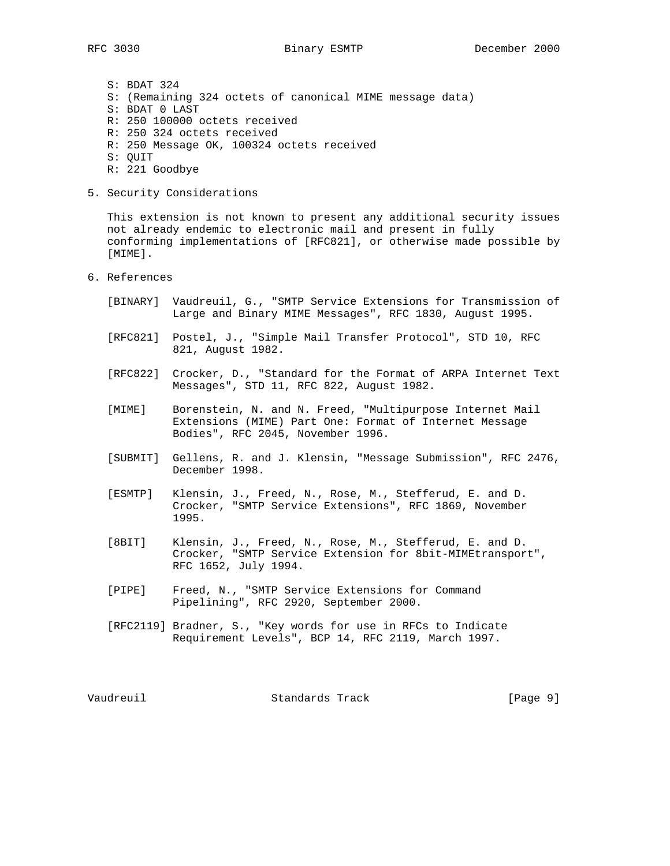S: BDAT 324 S: (Remaining 324 octets of canonical MIME message data) S: BDAT 0 LAST R: 250 100000 octets received R: 250 324 octets received R: 250 Message OK, 100324 octets received S: QUIT

- R: 221 Goodbye
- 5. Security Considerations

 This extension is not known to present any additional security issues not already endemic to electronic mail and present in fully conforming implementations of [RFC821], or otherwise made possible by [MIME].

- 6. References
	- [BINARY] Vaudreuil, G., "SMTP Service Extensions for Transmission of Large and Binary MIME Messages", RFC 1830, August 1995.
	- [RFC821] Postel, J., "Simple Mail Transfer Protocol", STD 10, RFC 821, August 1982.
	- [RFC822] Crocker, D., "Standard for the Format of ARPA Internet Text Messages", STD 11, RFC 822, August 1982.
	- [MIME] Borenstein, N. and N. Freed, "Multipurpose Internet Mail Extensions (MIME) Part One: Format of Internet Message Bodies", RFC 2045, November 1996.
	- [SUBMIT] Gellens, R. and J. Klensin, "Message Submission", RFC 2476, December 1998.
	- [ESMTP] Klensin, J., Freed, N., Rose, M., Stefferud, E. and D. Crocker, "SMTP Service Extensions", RFC 1869, November 1995.
	- [8BIT] Klensin, J., Freed, N., Rose, M., Stefferud, E. and D. Crocker, "SMTP Service Extension for 8bit-MIMEtransport", RFC 1652, July 1994.
	- [PIPE] Freed, N., "SMTP Service Extensions for Command Pipelining", RFC 2920, September 2000.
	- [RFC2119] Bradner, S., "Key words for use in RFCs to Indicate Requirement Levels", BCP 14, RFC 2119, March 1997.

Vaudreuil Standards Track [Page 9]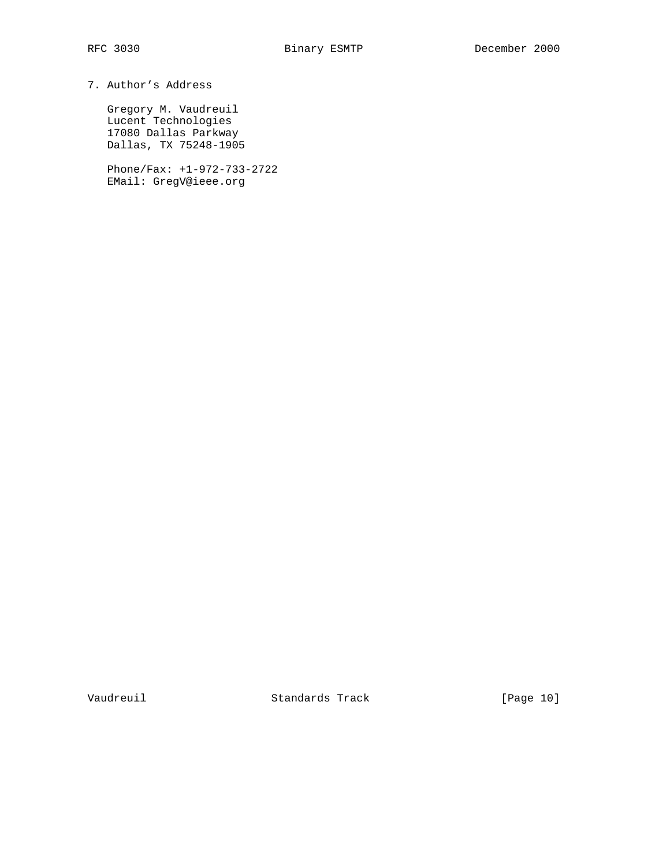# 7. Author's Address

 Gregory M. Vaudreuil Lucent Technologies 17080 Dallas Parkway Dallas, TX 75248-1905

 Phone/Fax: +1-972-733-2722 EMail: GregV@ieee.org

Vaudreuil Standards Track [Page 10]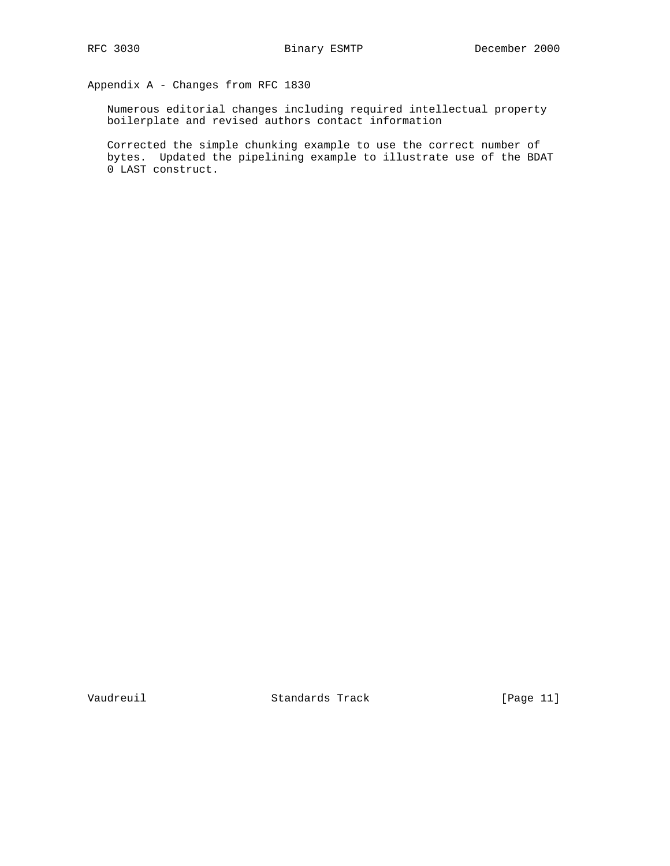Appendix A - Changes from RFC 1830

 Numerous editorial changes including required intellectual property boilerplate and revised authors contact information

 Corrected the simple chunking example to use the correct number of bytes. Updated the pipelining example to illustrate use of the BDAT 0 LAST construct.

Vaudreuil Standards Track [Page 11]